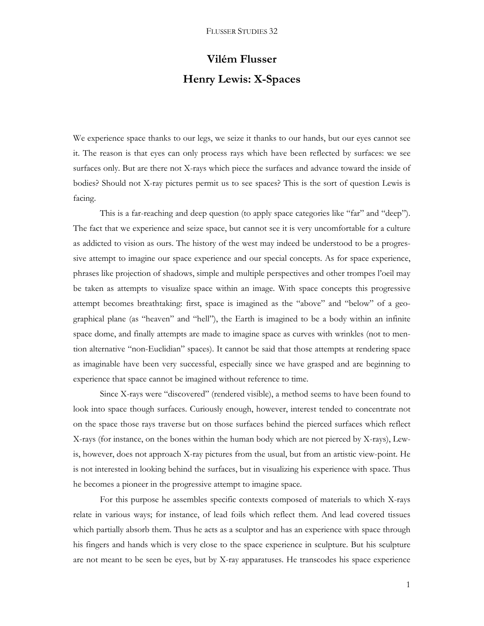## **Vilém Flusser Henry Lewis: X-Spaces**

We experience space thanks to our legs, we seize it thanks to our hands, but our eyes cannot see it. The reason is that eyes can only process rays which have been reflected by surfaces: we see surfaces only. But are there not X-rays which piece the surfaces and advance toward the inside of bodies? Should not X-ray pictures permit us to see spaces? This is the sort of question Lewis is facing.

This is a far-reaching and deep question (to apply space categories like "far" and "deep"). The fact that we experience and seize space, but cannot see it is very uncomfortable for a culture as addicted to vision as ours. The history of the west may indeed be understood to be a progressive attempt to imagine our space experience and our special concepts. As for space experience, phrases like projection of shadows, simple and multiple perspectives and other trompes l'oeil may be taken as attempts to visualize space within an image. With space concepts this progressive attempt becomes breathtaking: first, space is imagined as the "above" and "below" of a geographical plane (as "heaven" and "hell"), the Earth is imagined to be a body within an infinite space dome, and finally attempts are made to imagine space as curves with wrinkles (not to mention alternative "non-Euclidian" spaces). It cannot be said that those attempts at rendering space as imaginable have been very successful, especially since we have grasped and are beginning to experience that space cannot be imagined without reference to time.

Since X-rays were "discovered" (rendered visible), a method seems to have been found to look into space though surfaces. Curiously enough, however, interest tended to concentrate not on the space those rays traverse but on those surfaces behind the pierced surfaces which reflect X-rays (for instance, on the bones within the human body which are not pierced by X-rays), Lewis, however, does not approach X-ray pictures from the usual, but from an artistic view-point. He is not interested in looking behind the surfaces, but in visualizing his experience with space. Thus he becomes a pioneer in the progressive attempt to imagine space.

For this purpose he assembles specific contexts composed of materials to which X-rays relate in various ways; for instance, of lead foils which reflect them. And lead covered tissues which partially absorb them. Thus he acts as a sculptor and has an experience with space through his fingers and hands which is very close to the space experience in sculpture. But his sculpture are not meant to be seen be eyes, but by X-ray apparatuses. He transcodes his space experience